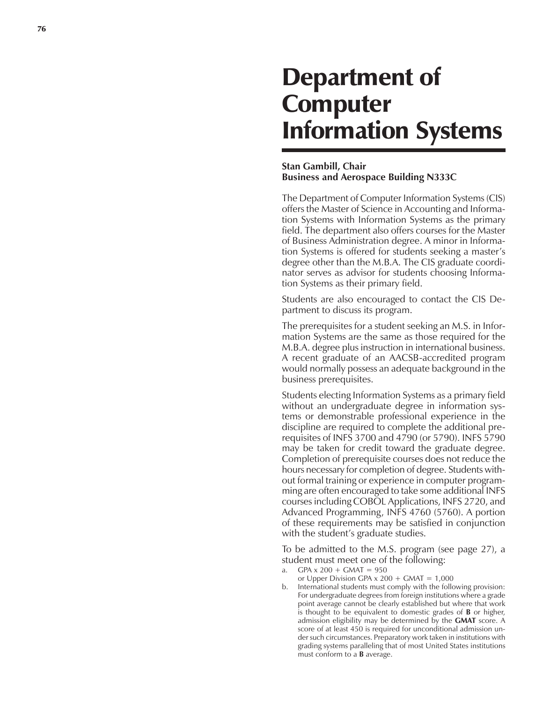# Department of Computer Information Systems

## **Stan Gambill, Chair Business and Aerospace Building N333C**

The Department of Computer Information Systems (CIS) offers the Master of Science in Accounting and Information Systems with Information Systems as the primary field. The department also offers courses for the Master of Business Administration degree. A minor in Information Systems is offered for students seeking a master's degree other than the M.B.A. The CIS graduate coordinator serves as advisor for students choosing Information Systems as their primary field.

Students are also encouraged to contact the CIS Department to discuss its program.

The prerequisites for a student seeking an M.S. in Information Systems are the same as those required for the M.B.A. degree plus instruction in international business. A recent graduate of an AACSB-accredited program would normally possess an adequate background in the business prerequisites.

Students electing Information Systems as a primary field without an undergraduate degree in information systems or demonstrable professional experience in the discipline are required to complete the additional prerequisites of INFS 3700 and 4790 (or 5790). INFS 5790 may be taken for credit toward the graduate degree. Completion of prerequisite courses does not reduce the hours necessary for completion of degree. Students without formal training or experience in computer programming are often encouraged to take some additional INFS courses including COBOL Applications, INFS 2720, and Advanced Programming, INFS 4760 (5760). A portion of these requirements may be satisfied in conjunction with the student's graduate studies.

To be admitted to the M.S. program (see page 27), a student must meet one of the following:

- $GPA \times 200 + GMAT = 950$
- or Upper Division GPA  $x$  200 + GMAT = 1,000
- b. International students must comply with the following provision: For undergraduate degrees from foreign institutions where a grade point average cannot be clearly established but where that work is thought to be equivalent to domestic grades of **B** or higher, admission eligibility may be determined by the **GMAT** score. A score of at least 450 is required for unconditional admission under such circumstances. Preparatory work taken in institutions with grading systems paralleling that of most United States institutions must conform to a **B** average.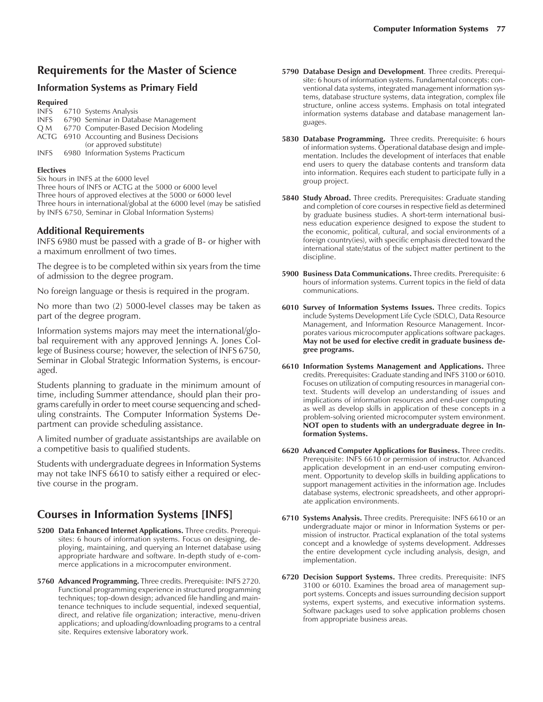# **Requirements for the Master of Science**

## **Information Systems as Primary Field**

#### **Required**

| INFS        | 6710 Systems Analysis                       |
|-------------|---------------------------------------------|
| <b>INFS</b> | 6790 Seminar in Database Management         |
| O M         | 6770 Computer-Based Decision Modeling       |
|             | ACTG 6910 Accounting and Business Decisions |
|             | (or approved substitute)                    |
| <b>INFS</b> | 6980 Information Systems Practicum          |

#### **Electives**

Six hours in INFS at the 6000 level

Three hours of INFS or ACTG at the 5000 or 6000 level Three hours of approved electives at the 5000 or 6000 level Three hours in international/global at the 6000 level (may be satisfied by INFS 6750, Seminar in Global Information Systems)

### **Additional Requirements**

INFS 6980 must be passed with a grade of B- or higher with a maximum enrollment of two times.

The degree is to be completed within six years from the time of admission to the degree program.

No foreign language or thesis is required in the program.

No more than two (2) 5000-level classes may be taken as part of the degree program.

Information systems majors may meet the international/global requirement with any approved Jennings A. Jones College of Business course; however, the selection of INFS 6750, Seminar in Global Strategic Information Systems, is encouraged.

Students planning to graduate in the minimum amount of time, including Summer attendance, should plan their programs carefully in order to meet course sequencing and scheduling constraints. The Computer Information Systems Department can provide scheduling assistance.

A limited number of graduate assistantships are available on a competitive basis to qualified students.

Students with undergraduate degrees in Information Systems may not take INFS 6610 to satisfy either a required or elective course in the program.

## **Courses in Information Systems [INFS]**

- **5200 Data Enhanced Internet Applications.** Three credits. Prerequisites: 6 hours of information systems. Focus on designing, deploying, maintaining, and querying an Internet database using appropriate hardware and software. In-depth study of e-commerce applications in a microcomputer environment.
- **5760 Advanced Programming.** Three credits. Prerequisite: INFS 2720. Functional programming experience in structured programming techniques; top-down design; advanced file handling and maintenance techniques to include sequential, indexed sequential, direct, and relative file organization; interactive, menu-driven applications; and uploading/downloading programs to a central site. Requires extensive laboratory work.
- **5790 Database Design and Development**. Three credits. Prerequisite: 6 hours of information systems. Fundamental concepts: conventional data systems, integrated management information systems, database structure systems, data integration, complex file structure, online access systems. Emphasis on total integrated information systems database and database management languages.
- **5830 Database Programming.** Three credits. Prerequisite: 6 hours of information systems. Operational database design and implementation. Includes the development of interfaces that enable end users to query the database contents and transform data into information. Requires each student to participate fully in a group project.
- **5840 Study Abroad.** Three credits. Prerequisites: Graduate standing and completion of core courses in respective field as determined by graduate business studies. A short-term international business education experience designed to expose the student to the economic, political, cultural, and social environments of a foreign country(ies), with specific emphasis directed toward the international state/status of the subject matter pertinent to the discipline.
- **5900 Business Data Communications.** Three credits. Prerequisite: 6 hours of information systems. Current topics in the field of data communications.
- **6010 Survey of Information Systems Issues.** Three credits. Topics include Systems Development Life Cycle (SDLC), Data Resource Management, and Information Resource Management. Incorporates various microcomputer applications software packages. **May not be used for elective credit in graduate business degree programs.**
- **6610 Information Systems Management and Applications.** Three credits. Prerequisites: Graduate standing and INFS 3100 or 6010. Focuses on utilization of computing resources in managerial context. Students will develop an understanding of issues and implications of information resources and end-user computing as well as develop skills in application of these concepts in a problem-solving oriented microcomputer system environment. **NOT open to students with an undergraduate degree in Information Systems.**
- **6620 Advanced Computer Applications for Business.** Three credits. Prerequisite: INFS 6610 or permission of instructor. Advanced application development in an end-user computing environment. Opportunity to develop skills in building applications to support management activities in the information age. Includes database systems, electronic spreadsheets, and other appropriate application environments.
- **6710 Systems Analysis.** Three credits. Prerequisite: INFS 6610 or an undergraduate major or minor in Information Systems or permission of instructor. Practical explanation of the total systems concept and a knowledge of systems development. Addresses the entire development cycle including analysis, design, and implementation.
- **6720 Decision Support Systems.** Three credits. Prerequisite: INFS 3100 or 6010. Examines the broad area of management support systems. Concepts and issues surrounding decision support systems, expert systems, and executive information systems. Software packages used to solve application problems chosen from appropriate business areas.